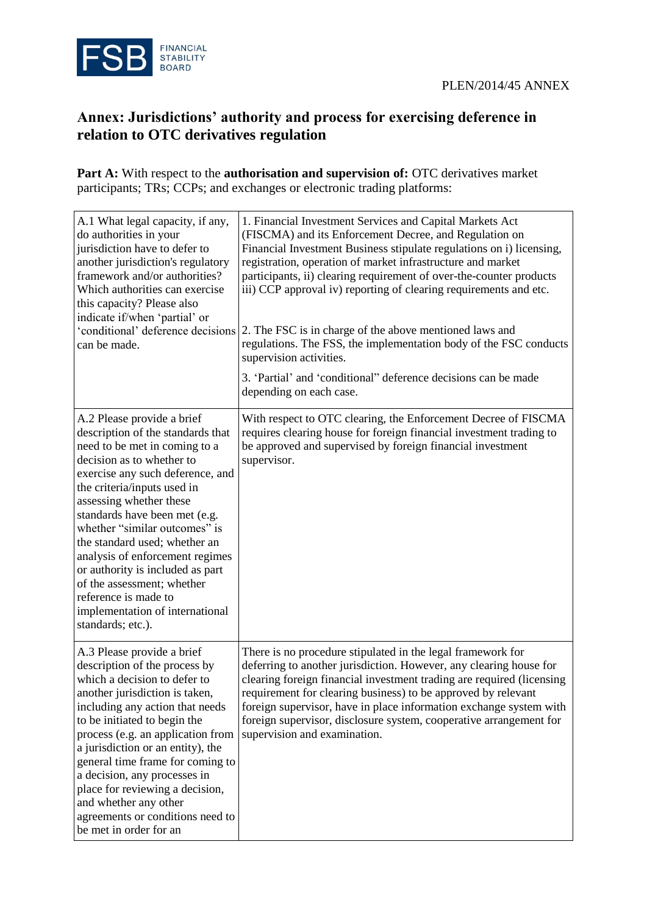

## **Annex: Jurisdictions' authority and process for exercising deference in relation to OTC derivatives regulation**

**Part A:** With respect to the **authorisation and supervision of:** OTC derivatives market participants; TRs; CCPs; and exchanges or electronic trading platforms:

| A.1 What legal capacity, if any,<br>do authorities in your<br>jurisdiction have to defer to<br>another jurisdiction's regulatory<br>framework and/or authorities?<br>Which authorities can exercise<br>this capacity? Please also<br>indicate if/when 'partial' or<br>'conditional' deference decisions<br>can be made.                                                                                                                                                                                             | 1. Financial Investment Services and Capital Markets Act<br>(FISCMA) and its Enforcement Decree, and Regulation on<br>Financial Investment Business stipulate regulations on i) licensing,<br>registration, operation of market infrastructure and market<br>participants, ii) clearing requirement of over-the-counter products<br>iii) CCP approval iv) reporting of clearing requirements and etc.<br>2. The FSC is in charge of the above mentioned laws and<br>regulations. The FSS, the implementation body of the FSC conducts<br>supervision activities.<br>3. 'Partial' and 'conditional'' deference decisions can be made<br>depending on each case. |
|---------------------------------------------------------------------------------------------------------------------------------------------------------------------------------------------------------------------------------------------------------------------------------------------------------------------------------------------------------------------------------------------------------------------------------------------------------------------------------------------------------------------|----------------------------------------------------------------------------------------------------------------------------------------------------------------------------------------------------------------------------------------------------------------------------------------------------------------------------------------------------------------------------------------------------------------------------------------------------------------------------------------------------------------------------------------------------------------------------------------------------------------------------------------------------------------|
| A.2 Please provide a brief<br>description of the standards that<br>need to be met in coming to a<br>decision as to whether to<br>exercise any such deference, and<br>the criteria/inputs used in<br>assessing whether these<br>standards have been met (e.g.<br>whether "similar outcomes" is<br>the standard used; whether an<br>analysis of enforcement regimes<br>or authority is included as part<br>of the assessment; whether<br>reference is made to<br>implementation of international<br>standards; etc.). | With respect to OTC clearing, the Enforcement Decree of FISCMA<br>requires clearing house for foreign financial investment trading to<br>be approved and supervised by foreign financial investment<br>supervisor.                                                                                                                                                                                                                                                                                                                                                                                                                                             |
| A.3 Please provide a brief<br>description of the process by<br>which a decision to defer to<br>another jurisdiction is taken.<br>including any action that needs<br>to be initiated to begin the<br>process (e.g. an application from<br>a jurisdiction or an entity), the<br>general time frame for coming to<br>a decision, any processes in<br>place for reviewing a decision,<br>and whether any other<br>agreements or conditions need to<br>be met in order for an                                            | There is no procedure stipulated in the legal framework for<br>deferring to another jurisdiction. However, any clearing house for<br>clearing foreign financial investment trading are required (licensing<br>requirement for clearing business) to be approved by relevant<br>foreign supervisor, have in place information exchange system with<br>foreign supervisor, disclosure system, cooperative arrangement for<br>supervision and examination.                                                                                                                                                                                                        |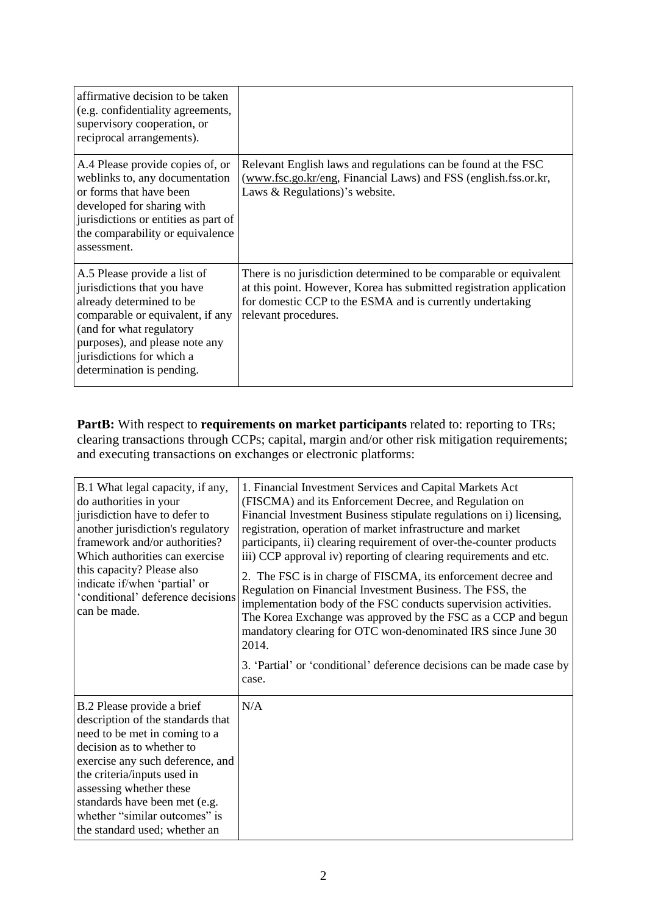| affirmative decision to be taken<br>(e.g. confidentiality agreements,<br>supervisory cooperation, or<br>reciprocal arrangements).                                                                                                                   |                                                                                                                                                                                                                                 |
|-----------------------------------------------------------------------------------------------------------------------------------------------------------------------------------------------------------------------------------------------------|---------------------------------------------------------------------------------------------------------------------------------------------------------------------------------------------------------------------------------|
| A.4 Please provide copies of, or<br>weblinks to, any documentation<br>or forms that have been<br>developed for sharing with<br>jurisdictions or entities as part of<br>the comparability or equivalence<br>assessment.                              | Relevant English laws and regulations can be found at the FSC<br>(www.fsc.go.kr/eng, Financial Laws) and FSS (english.fss.or.kr,<br>Laws & Regulations)'s website.                                                              |
| A.5 Please provide a list of<br>jurisdictions that you have<br>already determined to be<br>comparable or equivalent, if any<br>(and for what regulatory<br>purposes), and please note any<br>jurisdictions for which a<br>determination is pending. | There is no jurisdiction determined to be comparable or equivalent<br>at this point. However, Korea has submitted registration application<br>for domestic CCP to the ESMA and is currently undertaking<br>relevant procedures. |

**PartB:** With respect to **requirements on market participants** related to: reporting to TRs; clearing transactions through CCPs; capital, margin and/or other risk mitigation requirements; and executing transactions on exchanges or electronic platforms:

| B.1 What legal capacity, if any,<br>do authorities in your<br>jurisdiction have to defer to<br>another jurisdiction's regulatory<br>framework and/or authorities?<br>Which authorities can exercise<br>this capacity? Please also<br>indicate if/when 'partial' or<br>'conditional' deference decisions<br>can be made.        | 1. Financial Investment Services and Capital Markets Act<br>(FISCMA) and its Enforcement Decree, and Regulation on<br>Financial Investment Business stipulate regulations on i) licensing,<br>registration, operation of market infrastructure and market<br>participants, ii) clearing requirement of over-the-counter products<br>iii) CCP approval iv) reporting of clearing requirements and etc.<br>2. The FSC is in charge of FISCMA, its enforcement decree and<br>Regulation on Financial Investment Business. The FSS, the<br>implementation body of the FSC conducts supervision activities.<br>The Korea Exchange was approved by the FSC as a CCP and begun<br>mandatory clearing for OTC won-denominated IRS since June 30<br>2014.<br>3. 'Partial' or 'conditional' deference decisions can be made case by<br>case. |
|--------------------------------------------------------------------------------------------------------------------------------------------------------------------------------------------------------------------------------------------------------------------------------------------------------------------------------|------------------------------------------------------------------------------------------------------------------------------------------------------------------------------------------------------------------------------------------------------------------------------------------------------------------------------------------------------------------------------------------------------------------------------------------------------------------------------------------------------------------------------------------------------------------------------------------------------------------------------------------------------------------------------------------------------------------------------------------------------------------------------------------------------------------------------------|
| B.2 Please provide a brief<br>description of the standards that<br>need to be met in coming to a<br>decision as to whether to<br>exercise any such deference, and<br>the criteria/inputs used in<br>assessing whether these<br>standards have been met (e.g.<br>whether "similar outcomes" is<br>the standard used; whether an | N/A                                                                                                                                                                                                                                                                                                                                                                                                                                                                                                                                                                                                                                                                                                                                                                                                                                |